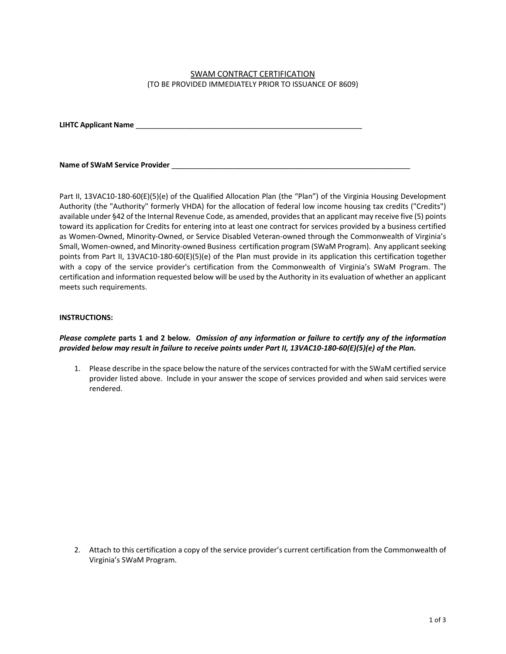# SWAM CONTRACT CERTIFICATION (TO BE PROVIDED IMMEDIATELY PRIOR TO ISSUANCE OF 8609)

**LIHTC Applicant Name** \_\_\_\_\_\_\_\_\_\_\_\_\_\_\_\_\_\_\_\_\_\_\_\_\_\_\_\_\_\_\_\_\_\_\_\_\_\_\_\_\_\_\_\_\_\_\_\_\_\_\_\_\_\_\_

#### Name of SWaM Service Provider **Name of SWaM Service** Provider

Part II, 13VAC10-180-60(E)(5)(e) of the Qualified Allocation Plan (the "Plan") of the Virginia Housing Development Authority (the "Authority" formerly VHDA) for the allocation of federal low income housing tax credits ("Credits") available under §42 of the Internal Revenue Code, as amended, provides that an applicant may receive five (5) points toward its application for Credits for entering into at least one contract for services provided by a business certified as Women-Owned, Minority-Owned, or Service Disabled Veteran-owned through the Commonwealth of Virginia's Small, Women-owned, and Minority-owned Business certification program (SWaM Program). Any applicant seeking points from Part II, 13VAC10-180-60(E)(5)(e) of the Plan must provide in its application this certification together with a copy of the service provider's certification from the Commonwealth of Virginia's SWaM Program. The certification and information requested below will be used by the Authority in its evaluation of whether an applicant meets such requirements.

### **INSTRUCTIONS:**

# *Please complete* **parts 1 and 2 below***. Omission of any information or failure to certify any of the information provided below may result in failure to receive points under Part II, 13VAC10-180-60(E)(5)(e) of the Plan.*

1. Please describe in the space below the nature of the services contracted for with the SWaM certified service provider listed above. Include in your answer the scope of services provided and when said services were rendered.

2. Attach to this certification a copy of the service provider's current certification from the Commonwealth of Virginia's SWaM Program.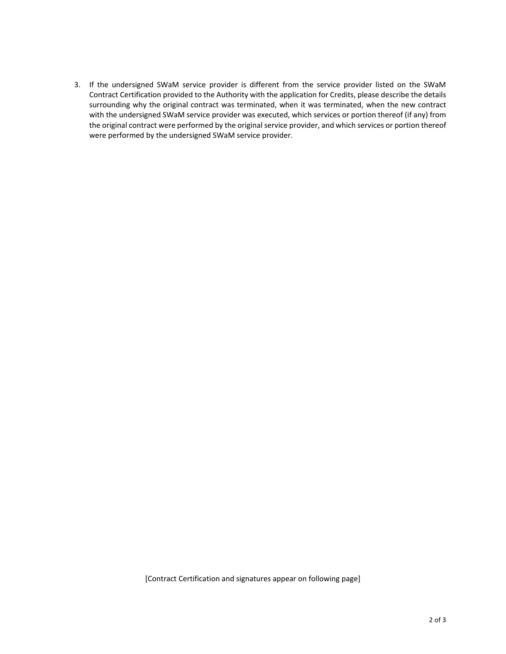3. If the undersigned SWaM service provider is different from the service provider listed on the SWaM Contract Certification provided to the Authority with the application for Credits, please describe the details surrounding why the original contract was terminated, when it was terminated, when the new contract with the undersigned SWaM service provider was executed, which services or portion thereof (if any) from the original contract were performed by the original service provider, and which services or portion thereof were performed by the undersigned SWaM service provider.